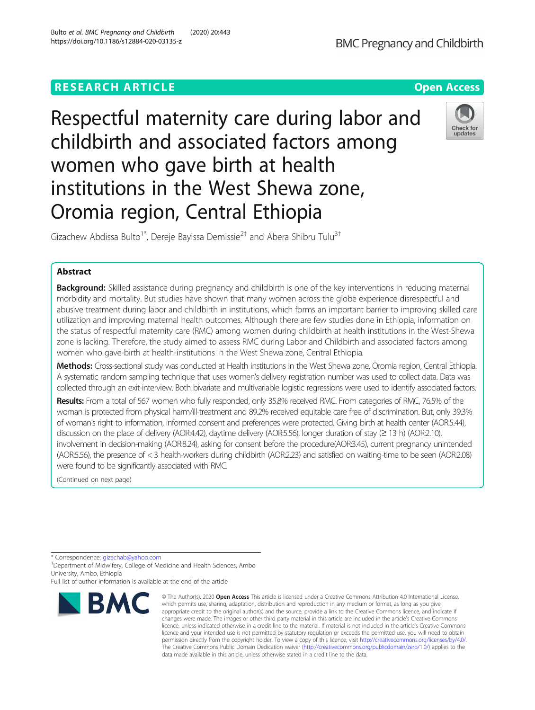# **RESEARCH ARTICLE Example 2014 12:30 The Contract of Contract ACCESS**

# Respectful maternity care during labor and childbirth and associated factors among women who gave birth at health institutions in the West Shewa zone, Oromia region, Central Ethiopia

Gizachew Abdissa Bulto<sup>1\*</sup>, Dereje Bayissa Demissie<sup>2†</sup> and Abera Shibru Tulu<sup>3†</sup>

## Abstract

Background: Skilled assistance during pregnancy and childbirth is one of the key interventions in reducing maternal morbidity and mortality. But studies have shown that many women across the globe experience disrespectful and abusive treatment during labor and childbirth in institutions, which forms an important barrier to improving skilled care utilization and improving maternal health outcomes. Although there are few studies done in Ethiopia, information on the status of respectful maternity care (RMC) among women during childbirth at health institutions in the West-Shewa zone is lacking. Therefore, the study aimed to assess RMC during Labor and Childbirth and associated factors among women who gave-birth at health-institutions in the West Shewa zone, Central Ethiopia.

Methods: Cross-sectional study was conducted at Health institutions in the West Shewa zone, Oromia region, Central Ethiopia. A systematic random sampling technique that uses women's delivery registration number was used to collect data. Data was collected through an exit-interview. Both bivariate and multivariable logistic regressions were used to identify associated factors.

Results: From a total of 567 women who fully responded, only 35.8% received RMC. From categories of RMC, 76.5% of the woman is protected from physical harm/ill-treatment and 89.2% received equitable care free of discrimination. But, only 39.3% of woman's right to information, informed consent and preferences were protected. Giving birth at health center (AOR:5.44), discussion on the place of delivery (AOR:4.42), daytime delivery (AOR:5.56), longer duration of stay (≥13 h) (AOR:2.10), involvement in decision-making (AOR:8.24), asking for consent before the procedure(AOR:3.45), current pregnancy unintended (AOR:5.56), the presence of < 3 health-workers during childbirth (AOR:2.23) and satisfied on waiting-time to be seen (AOR:2.08) were found to be significantly associated with RMC.

> © The Author(s), 2020 **Open Access** This article is licensed under a Creative Commons Attribution 4.0 International License, which permits use, sharing, adaptation, distribution and reproduction in any medium or format, as long as you give

(Continued on next page)

\* Correspondence: [gizachab@yahoo.com](mailto:gizachab@yahoo.com) <sup>1</sup>

<sup>1</sup> Department of Midwifery, College of Medicine and Health Sciences, Ambo University, Ambo, Ethiopia







Full list of author information is available at the end of the article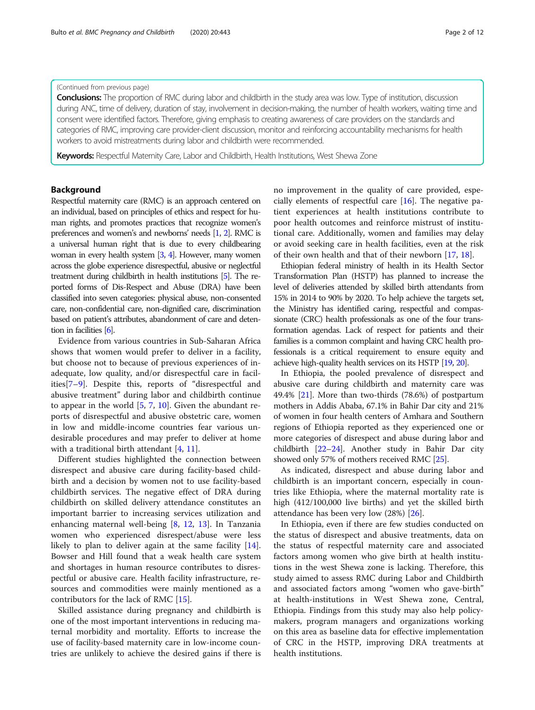## (Continued from previous page)

Conclusions: The proportion of RMC during labor and childbirth in the study area was low. Type of institution, discussion during ANC, time of delivery, duration of stay, involvement in decision-making, the number of health workers, waiting time and consent were identified factors. Therefore, giving emphasis to creating awareness of care providers on the standards and categories of RMC, improving care provider-client discussion, monitor and reinforcing accountability mechanisms for health workers to avoid mistreatments during labor and childbirth were recommended.

Keywords: Respectful Maternity Care, Labor and Childbirth, Health Institutions, West Shewa Zone

## Background

Respectful maternity care (RMC) is an approach centered on an individual, based on principles of ethics and respect for human rights, and promotes practices that recognize women's preferences and women's and newborns' needs [\[1](#page-10-0), [2\]](#page-10-0). RMC is a universal human right that is due to every childbearing woman in every health system [\[3](#page-10-0), [4\]](#page-10-0). However, many women across the globe experience disrespectful, abusive or neglectful treatment during childbirth in health institutions [\[5](#page-10-0)]. The reported forms of Dis-Respect and Abuse (DRA) have been classified into seven categories: physical abuse, non-consented care, non-confidential care, non-dignified care, discrimination based on patient's attributes, abandonment of care and detention in facilities [\[6](#page-10-0)].

Evidence from various countries in Sub-Saharan Africa shows that women would prefer to deliver in a facility, but choose not to because of previous experiences of inadequate, low quality, and/or disrespectful care in facilities[\[7](#page-10-0)–[9](#page-10-0)]. Despite this, reports of "disrespectful and abusive treatment" during labor and childbirth continue to appear in the world [\[5](#page-10-0), [7](#page-10-0), [10\]](#page-10-0). Given the abundant reports of disrespectful and abusive obstetric care, women in low and middle-income countries fear various undesirable procedures and may prefer to deliver at home with a traditional birth attendant [[4,](#page-10-0) [11](#page-10-0)].

Different studies highlighted the connection between disrespect and abusive care during facility-based childbirth and a decision by women not to use facility-based childbirth services. The negative effect of DRA during childbirth on skilled delivery attendance constitutes an important barrier to increasing services utilization and enhancing maternal well-being [\[8](#page-10-0), [12](#page-10-0), [13\]](#page-10-0). In Tanzania women who experienced disrespect/abuse were less likely to plan to deliver again at the same facility [\[14](#page-10-0)]. Bowser and Hill found that a weak health care system and shortages in human resource contributes to disrespectful or abusive care. Health facility infrastructure, resources and commodities were mainly mentioned as a contributors for the lack of RMC [[15](#page-10-0)].

Skilled assistance during pregnancy and childbirth is one of the most important interventions in reducing maternal morbidity and mortality. Efforts to increase the use of facility-based maternity care in low-income countries are unlikely to achieve the desired gains if there is no improvement in the quality of care provided, especially elements of respectful care [[16\]](#page-10-0). The negative patient experiences at health institutions contribute to poor health outcomes and reinforce mistrust of institutional care. Additionally, women and families may delay or avoid seeking care in health facilities, even at the risk of their own health and that of their newborn [\[17,](#page-10-0) [18\]](#page-11-0).

Ethiopian federal ministry of health in its Health Sector Transformation Plan (HSTP) has planned to increase the level of deliveries attended by skilled birth attendants from 15% in 2014 to 90% by 2020. To help achieve the targets set, the Ministry has identified caring, respectful and compassionate (CRC) health professionals as one of the four transformation agendas. Lack of respect for patients and their families is a common complaint and having CRC health professionals is a critical requirement to ensure equity and achieve high-quality health services on its HSTP [\[19,](#page-11-0) [20](#page-11-0)].

In Ethiopia, the pooled prevalence of disrespect and abusive care during childbirth and maternity care was 49.4% [\[21\]](#page-11-0). More than two-thirds (78.6%) of postpartum mothers in Addis Ababa, 67.1% in Bahir Dar city and 21% of women in four health centers of Amhara and Southern regions of Ethiopia reported as they experienced one or more categories of disrespect and abuse during labor and childbirth [[22](#page-11-0)–[24\]](#page-11-0). Another study in Bahir Dar city showed only 57% of mothers received RMC [\[25\]](#page-11-0).

As indicated, disrespect and abuse during labor and childbirth is an important concern, especially in countries like Ethiopia, where the maternal mortality rate is high (412/100,000 live births) and yet the skilled birth attendance has been very low (28%) [\[26](#page-11-0)].

In Ethiopia, even if there are few studies conducted on the status of disrespect and abusive treatments, data on the status of respectful maternity care and associated factors among women who give birth at health institutions in the west Shewa zone is lacking. Therefore, this study aimed to assess RMC during Labor and Childbirth and associated factors among "women who gave-birth" at health-institutions in West Shewa zone, Central, Ethiopia. Findings from this study may also help policymakers, program managers and organizations working on this area as baseline data for effective implementation of CRC in the HSTP, improving DRA treatments at health institutions.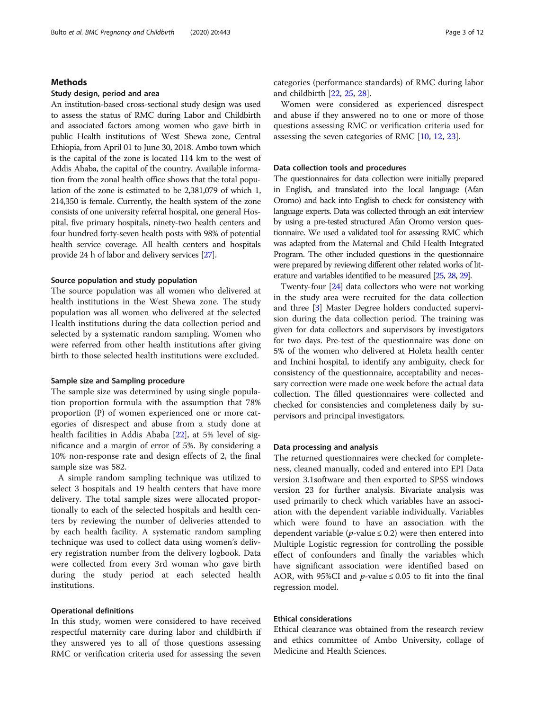## Methods

## Study design, period and area

An institution-based cross-sectional study design was used to assess the status of RMC during Labor and Childbirth and associated factors among women who gave birth in public Health institutions of West Shewa zone, Central Ethiopia, from April 01 to June 30, 2018. Ambo town which is the capital of the zone is located 114 km to the west of Addis Ababa, the capital of the country. Available information from the zonal health office shows that the total population of the zone is estimated to be 2,381,079 of which 1, 214,350 is female. Currently, the health system of the zone consists of one university referral hospital, one general Hospital, five primary hospitals, ninety-two health centers and four hundred forty-seven health posts with 98% of potential health service coverage. All health centers and hospitals provide 24 h of labor and delivery services [\[27](#page-11-0)].

## Source population and study population

The source population was all women who delivered at health institutions in the West Shewa zone. The study population was all women who delivered at the selected Health institutions during the data collection period and selected by a systematic random sampling. Women who were referred from other health institutions after giving birth to those selected health institutions were excluded.

## Sample size and Sampling procedure

The sample size was determined by using single population proportion formula with the assumption that 78% proportion (P) of women experienced one or more categories of disrespect and abuse from a study done at health facilities in Addis Ababa [\[22](#page-11-0)], at 5% level of significance and a margin of error of 5%. By considering a 10% non-response rate and design effects of 2, the final sample size was 582.

A simple random sampling technique was utilized to select 3 hospitals and 19 health centers that have more delivery. The total sample sizes were allocated proportionally to each of the selected hospitals and health centers by reviewing the number of deliveries attended to by each health facility. A systematic random sampling technique was used to collect data using women's delivery registration number from the delivery logbook. Data were collected from every 3rd woman who gave birth during the study period at each selected health institutions.

## Operational definitions

In this study, women were considered to have received respectful maternity care during labor and childbirth if they answered yes to all of those questions assessing RMC or verification criteria used for assessing the seven

categories (performance standards) of RMC during labor and childbirth [[22](#page-11-0), [25](#page-11-0), [28](#page-11-0)].

Women were considered as experienced disrespect and abuse if they answered no to one or more of those questions assessing RMC or verification criteria used for assessing the seven categories of RMC [[10,](#page-10-0) [12,](#page-10-0) [23\]](#page-11-0).

## Data collection tools and procedures

The questionnaires for data collection were initially prepared in English, and translated into the local language (Afan Oromo) and back into English to check for consistency with language experts. Data was collected through an exit interview by using a pre-tested structured Afan Oromo version questionnaire. We used a validated tool for assessing RMC which was adapted from the Maternal and Child Health Integrated Program. The other included questions in the questionnaire were prepared by reviewing different other related works of literature and variables identified to be measured [\[25](#page-11-0), [28](#page-11-0), [29\]](#page-11-0).

Twenty-four [\[24\]](#page-11-0) data collectors who were not working in the study area were recruited for the data collection and three [\[3\]](#page-10-0) Master Degree holders conducted supervision during the data collection period. The training was given for data collectors and supervisors by investigators for two days. Pre-test of the questionnaire was done on 5% of the women who delivered at Holeta health center and Inchini hospital, to identify any ambiguity, check for consistency of the questionnaire, acceptability and necessary correction were made one week before the actual data collection. The filled questionnaires were collected and checked for consistencies and completeness daily by supervisors and principal investigators.

## Data processing and analysis

The returned questionnaires were checked for completeness, cleaned manually, coded and entered into EPI Data version 3.1software and then exported to SPSS windows version 23 for further analysis. Bivariate analysis was used primarily to check which variables have an association with the dependent variable individually. Variables which were found to have an association with the dependent variable ( $p$ -value  $\leq$  0.2) were then entered into Multiple Logistic regression for controlling the possible effect of confounders and finally the variables which have significant association were identified based on AOR, with 95%CI and *p*-value  $\leq$  0.05 to fit into the final regression model.

## Ethical considerations

Ethical clearance was obtained from the research review and ethics committee of Ambo University, collage of Medicine and Health Sciences.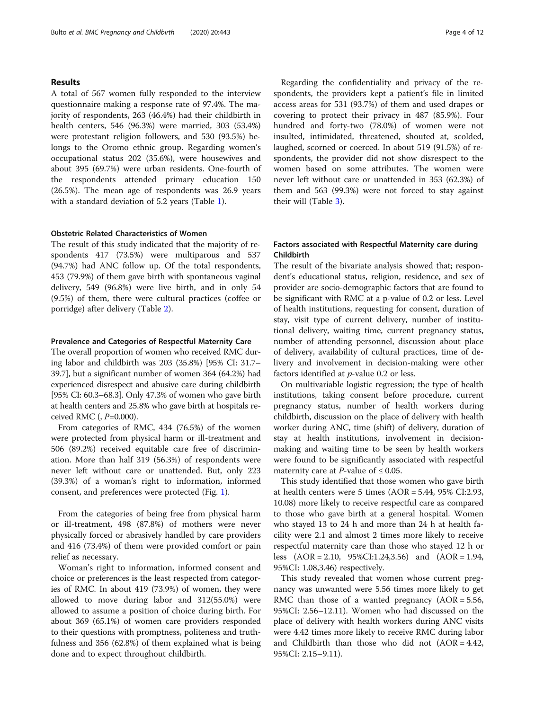## Results

A total of 567 women fully responded to the interview questionnaire making a response rate of 97.4%. The majority of respondents, 263 (46.4%) had their childbirth in health centers, 546 (96.3%) were married, 303 (53.4%) were protestant religion followers, and 530 (93.5%) belongs to the Oromo ethnic group. Regarding women's occupational status 202 (35.6%), were housewives and about 395 (69.7%) were urban residents. One-fourth of the respondents attended primary education 150 (26.5%). The mean age of respondents was 26.9 years with a standard deviation of 5.2 years (Table [1\)](#page-4-0).

## Obstetric Related Characteristics of Women

The result of this study indicated that the majority of respondents 417 (73.5%) were multiparous and 537 (94.7%) had ANC follow up. Of the total respondents, 453 (79.9%) of them gave birth with spontaneous vaginal delivery, 549 (96.8%) were live birth, and in only 54 (9.5%) of them, there were cultural practices (coffee or porridge) after delivery (Table [2](#page-5-0)).

## Prevalence and Categories of Respectful Maternity Care

The overall proportion of women who received RMC during labor and childbirth was 203 (35.8%) [95% CI: 31.7– 39.7], but a significant number of women 364 (64.2%) had experienced disrespect and abusive care during childbirth [95% CI: 60.3–68.3]. Only 47.3% of women who gave birth at health centers and 25.8% who gave birth at hospitals received RMC (,  $P=0.000$ ).

From categories of RMC, 434 (76.5%) of the women were protected from physical harm or ill-treatment and 506 (89.2%) received equitable care free of discrimination. More than half 319 (56.3%) of respondents were never left without care or unattended. But, only 223 (39.3%) of a woman's right to information, informed consent, and preferences were protected (Fig. [1\)](#page-6-0).

From the categories of being free from physical harm or ill-treatment, 498 (87.8%) of mothers were never physically forced or abrasively handled by care providers and 416 (73.4%) of them were provided comfort or pain relief as necessary.

Woman's right to information, informed consent and choice or preferences is the least respected from categories of RMC. In about 419 (73.9%) of women, they were allowed to move during labor and 312(55.0%) were allowed to assume a position of choice during birth. For about 369 (65.1%) of women care providers responded to their questions with promptness, politeness and truthfulness and 356 (62.8%) of them explained what is being done and to expect throughout childbirth.

Regarding the confidentiality and privacy of the respondents, the providers kept a patient's file in limited access areas for 531 (93.7%) of them and used drapes or covering to protect their privacy in 487 (85.9%). Four hundred and forty-two (78.0%) of women were not insulted, intimidated, threatened, shouted at, scolded, laughed, scorned or coerced. In about 519 (91.5%) of respondents, the provider did not show disrespect to the women based on some attributes. The women were never left without care or unattended in 353 (62.3%) of them and 563 (99.3%) were not forced to stay against their will (Table [3](#page-7-0)).

## Factors associated with Respectful Maternity care during Childbirth

The result of the bivariate analysis showed that; respondent's educational status, religion, residence, and sex of provider are socio-demographic factors that are found to be significant with RMC at a p-value of 0.2 or less. Level of health institutions, requesting for consent, duration of stay, visit type of current delivery, number of institutional delivery, waiting time, current pregnancy status, number of attending personnel, discussion about place of delivery, availability of cultural practices, time of delivery and involvement in decision-making were other factors identified at p-value 0.2 or less.

On multivariable logistic regression; the type of health institutions, taking consent before procedure, current pregnancy status, number of health workers during childbirth, discussion on the place of delivery with health worker during ANC, time (shift) of delivery, duration of stay at health institutions, involvement in decisionmaking and waiting time to be seen by health workers were found to be significantly associated with respectful maternity care at *P*-value of  $\leq 0.05$ .

This study identified that those women who gave birth at health centers were 5 times (AOR = 5.44, 95% CI:2.93, 10.08) more likely to receive respectful care as compared to those who gave birth at a general hospital. Women who stayed 13 to 24 h and more than 24 h at health facility were 2.1 and almost 2 times more likely to receive respectful maternity care than those who stayed 12 h or less (AOR = 2.10, 95%CI:1.24,3.56) and (AOR = 1.94, 95%CI: 1.08,3.46) respectively.

This study revealed that women whose current pregnancy was unwanted were 5.56 times more likely to get RMC than those of a wanted pregnancy  $(AOR = 5.56,$ 95%CI: 2.56–12.11). Women who had discussed on the place of delivery with health workers during ANC visits were 4.42 times more likely to receive RMC during labor and Childbirth than those who did not  $(AOR = 4.42,$ 95%CI: 2.15–9.11).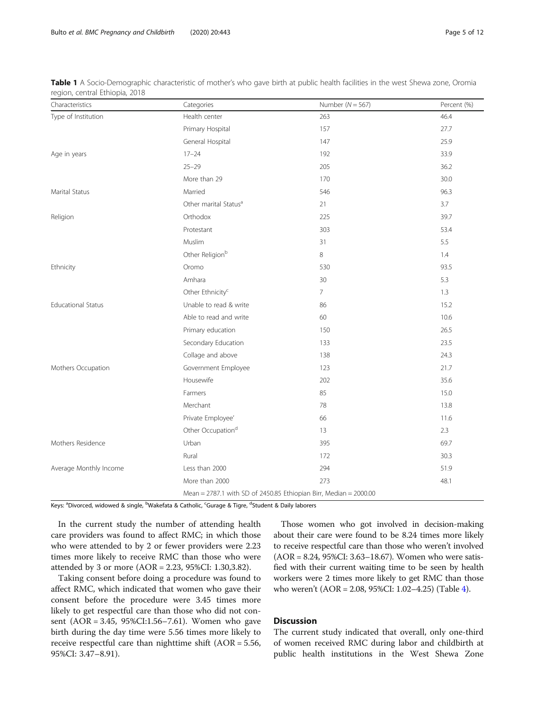<span id="page-4-0"></span>Bulto et al. BMC Pregnancy and Childbirth (2020) 20:443 Page 5 of 12

| Characteristics           | Categories                                                        | Number ( $N = 567$ ) | Percent (%) |  |  |
|---------------------------|-------------------------------------------------------------------|----------------------|-------------|--|--|
| Type of Institution       | Health center                                                     | 263                  | 46.4        |  |  |
|                           | Primary Hospital                                                  | 157                  | 27.7        |  |  |
|                           | General Hospital                                                  | 147                  | 25.9        |  |  |
| Age in years              | $17 - 24$                                                         | 192                  | 33.9        |  |  |
|                           | $25 - 29$                                                         | 205                  | 36.2        |  |  |
|                           | More than 29                                                      | 170                  | 30.0        |  |  |
| Marital Status            | Married                                                           | 546                  | 96.3        |  |  |
|                           | Other marital Status <sup>a</sup>                                 | 21                   | 3.7         |  |  |
| Religion                  | Orthodox                                                          | 225                  | 39.7        |  |  |
|                           | Protestant                                                        | 303                  | 53.4        |  |  |
|                           | Muslim                                                            | 31                   | 5.5         |  |  |
|                           | Other Religion <sup>b</sup>                                       | 8                    | 1.4         |  |  |
| Ethnicity                 | Oromo                                                             | 530                  | 93.5        |  |  |
|                           | Amhara                                                            | 30                   | 5.3         |  |  |
|                           | Other Ethnicity <sup>c</sup>                                      | $\overline{7}$       | 1.3         |  |  |
| <b>Educational Status</b> | Unable to read & write                                            | 86                   | 15.2        |  |  |
|                           | Able to read and write                                            | 60                   | 10.6        |  |  |
|                           | Primary education                                                 | 150                  | 26.5        |  |  |
|                           | Secondary Education                                               | 133                  | 23.5        |  |  |
|                           | Collage and above                                                 | 138                  | 24.3        |  |  |
| Mothers Occupation        | Government Employee                                               | 123                  | 21.7        |  |  |
|                           | Housewife                                                         | 202                  | 35.6        |  |  |
|                           | Farmers                                                           | 85                   | 15.0        |  |  |
|                           | Merchant                                                          | 78                   | 13.8        |  |  |
|                           | Private Employee'                                                 | 66                   | 11.6        |  |  |
|                           | Other Occupation <sup>d</sup>                                     | 13                   | 2.3         |  |  |
| Mothers Residence         | Urban                                                             | 395                  | 69.7        |  |  |
|                           | Rural                                                             | 172                  | 30.3        |  |  |
| Average Monthly Income    | Less than 2000                                                    | 294                  | 51.9        |  |  |
|                           | More than 2000                                                    | 273                  | 48.1        |  |  |
|                           | Mean = 2787.1 with SD of 2450.85 Ethiopian Birr, Median = 2000.00 |                      |             |  |  |

Table 1 A Socio-Demographic characteristic of mother's who gave birth at public health facilities in the west Shewa zone, Oromia region, central Ethiopia, 2018

Keys: <sup>a</sup>Divorced, widowed & single, <sup>b</sup>Wakefata & Catholic, <sup>c</sup>Gurage & Tigre, <sup>d</sup>Student & Daily laborers

In the current study the number of attending health care providers was found to affect RMC; in which those who were attended to by 2 or fewer providers were 2.23 times more likely to receive RMC than those who were attended by 3 or more (AOR = 2.23, 95%CI: 1.30,3.82).

Taking consent before doing a procedure was found to affect RMC, which indicated that women who gave their consent before the procedure were 3.45 times more likely to get respectful care than those who did not consent (AOR = 3.45, 95%CI:1.56–7.61). Women who gave birth during the day time were 5.56 times more likely to receive respectful care than nighttime shift  $(AOR = 5.56,$ 95%CI: 3.47–8.91).

Those women who got involved in decision-making about their care were found to be 8.24 times more likely to receive respectful care than those who weren't involved (AOR = 8.24, 95%CI: 3.63–18.67). Women who were satisfied with their current waiting time to be seen by health workers were 2 times more likely to get RMC than those who weren't (AOR = 2.08, 95%CI: 1.02–4.25) (Table [4\)](#page-8-0).

## **Discussion**

The current study indicated that overall, only one-third of women received RMC during labor and childbirth at public health institutions in the West Shewa Zone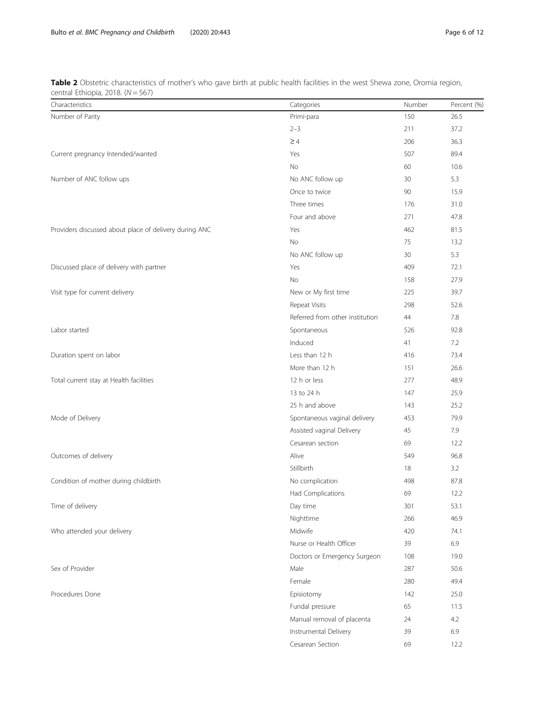<span id="page-5-0"></span>Table 2 Obstetric characteristics of mother's who gave birth at public health facilities in the west Shewa zone, Oromia region, central Ethiopia, 2018.  $(N = 567)$ 

| certifian Ethnopia, 2010. $(1 - 307)$<br>Characteristics | Categories                      | Number | Percent (%) |
|----------------------------------------------------------|---------------------------------|--------|-------------|
| Number of Parity                                         | Primi-para                      | 150    | 26.5        |
|                                                          | $2 - 3$                         | 211    | 37.2        |
|                                                          | $\geq 4$                        | 206    | 36.3        |
| Current pregnancy Intended/wanted                        | Yes                             | 507    | 89.4        |
|                                                          | No                              | 60     | 10.6        |
| Number of ANC follow ups                                 | No ANC follow up                | 30     | 5.3         |
|                                                          | Once to twice                   | 90     | 15.9        |
|                                                          | Three times                     | 176    | 31.0        |
|                                                          | Four and above                  | 271    | 47.8        |
| Providers discussed about place of delivery during ANC   | Yes                             | 462    | 81.5        |
|                                                          | No                              | 75     | 13.2        |
|                                                          | No ANC follow up                | 30     | 5.3         |
| Discussed place of delivery with partner                 | Yes                             | 409    | 72.1        |
|                                                          | No                              | 158    | 27.9        |
| Visit type for current delivery                          | New or My first time            | 225    | 39.7        |
|                                                          | Repeat Visits                   | 298    | 52.6        |
|                                                          | Referred from other institution | 44     | 7.8         |
| Labor started                                            | Spontaneous                     | 526    | 92.8        |
|                                                          | Induced                         | 41     | 7.2         |
| Duration spent on labor                                  | Less than 12 h                  | 416    | 73.4        |
|                                                          | More than 12 h                  | 151    | 26.6        |
| Total current stay at Health facilities                  | 12 h or less                    | 277    | 48.9        |
|                                                          | 13 to 24 h                      | 147    | 25.9        |
|                                                          | 25 h and above                  | 143    | 25.2        |
| Mode of Delivery                                         | Spontaneous vaginal delivery    | 453    | 79.9        |
|                                                          | Assisted vaginal Delivery       | 45     | 7.9         |
|                                                          | Cesarean section                | 69     | 12.2        |
| Outcomes of delivery                                     | Alive                           | 549    | 96.8        |
|                                                          | Stillbirth                      | 18     | 3.2         |
| Condition of mother during childbirth                    | No complication                 | 498    | 87.8        |
|                                                          | Had Complications               | 69     | 12.2        |
| Time of delivery                                         | Day time                        | 301    | 53.1        |
|                                                          | Nighttime                       | 266    | 46.9        |
| Who attended your delivery                               | Midwife                         | 420    | 74.1        |
|                                                          | Nurse or Health Officer         | 39     | 6.9         |
|                                                          | Doctors or Emergency Surgeon    | 108    | 19.0        |
| Sex of Provider                                          | Male                            | 287    | 50.6        |
|                                                          | Female                          | 280    | 49.4        |
| Procedures Done                                          | Episiotomy                      | 142    | 25.0        |
|                                                          | Fundal pressure                 | 65     | 11.5        |
|                                                          | Manual removal of placenta      | 24     | 4.2         |
|                                                          | Instrumental Delivery           | 39     | 6.9         |
|                                                          | Cesarean Section                | 69     | 12.2        |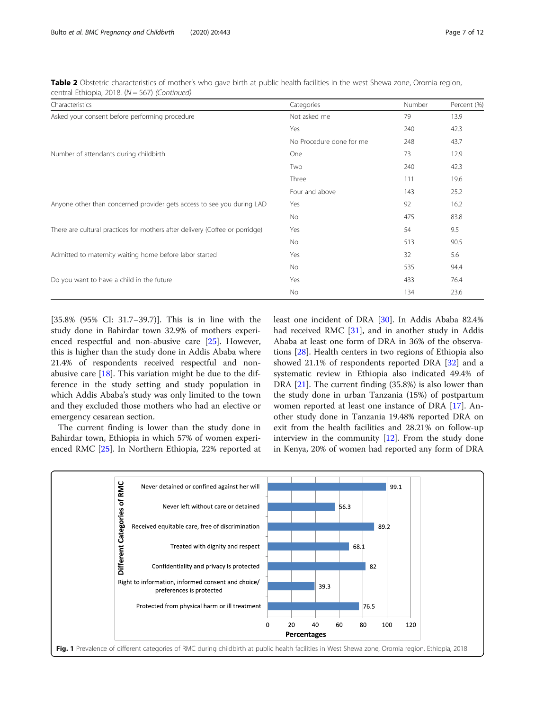<span id="page-6-0"></span>Table 2 Obstetric characteristics of mother's who gave birth at public health facilities in the west Shewa zone, Oromia region, central Ethiopia, 2018. (N = 567) (Continued)

| Characteristics                                                              | Categories               | Number | Percent (%) |
|------------------------------------------------------------------------------|--------------------------|--------|-------------|
| Asked your consent before performing procedure                               | Not asked me             | 79     | 13.9        |
|                                                                              | Yes                      | 240    | 42.3        |
|                                                                              | No Procedure done for me | 248    | 43.7        |
| Number of attendants during childbirth                                       | One                      | 73     | 12.9        |
|                                                                              | Two                      | 240    | 42.3        |
|                                                                              | Three                    | 111    | 19.6        |
|                                                                              | Four and above           | 143    | 25.2        |
| Anyone other than concerned provider gets access to see you during LAD       | Yes                      | 92     | 16.2        |
|                                                                              | No                       | 475    | 83.8        |
| There are cultural practices for mothers after delivery (Coffee or porridge) | Yes                      | 54     | 9.5         |
|                                                                              | No                       | 513    | 90.5        |
| Admitted to maternity waiting home before labor started                      | Yes                      | 32     | 5.6         |
|                                                                              | No                       | 535    | 94.4        |
| Do you want to have a child in the future                                    | Yes                      | 433    | 76.4        |
|                                                                              | No                       | 134    | 23.6        |

[35.8% (95% CI: 31.7–39.7)]. This is in line with the study done in Bahirdar town 32.9% of mothers experienced respectful and non-abusive care [\[25](#page-11-0)]. However, this is higher than the study done in Addis Ababa where 21.4% of respondents received respectful and nonabusive care  $[18]$  $[18]$ . This variation might be due to the difference in the study setting and study population in which Addis Ababa's study was only limited to the town and they excluded those mothers who had an elective or emergency cesarean section.

The current finding is lower than the study done in Bahirdar town, Ethiopia in which 57% of women experienced RMC [\[25](#page-11-0)]. In Northern Ethiopia, 22% reported at least one incident of DRA [[30\]](#page-11-0). In Addis Ababa 82.4% had received RMC [[31](#page-11-0)], and in another study in Addis Ababa at least one form of DRA in 36% of the observations [\[28\]](#page-11-0). Health centers in two regions of Ethiopia also showed 21.1% of respondents reported DRA [\[32](#page-11-0)] and a systematic review in Ethiopia also indicated 49.4% of DRA [\[21\]](#page-11-0). The current finding (35.8%) is also lower than the study done in urban Tanzania (15%) of postpartum women reported at least one instance of DRA [[17\]](#page-10-0). Another study done in Tanzania 19.48% reported DRA on exit from the health facilities and 28.21% on follow-up interview in the community [[12\]](#page-10-0). From the study done in Kenya, 20% of women had reported any form of DRA

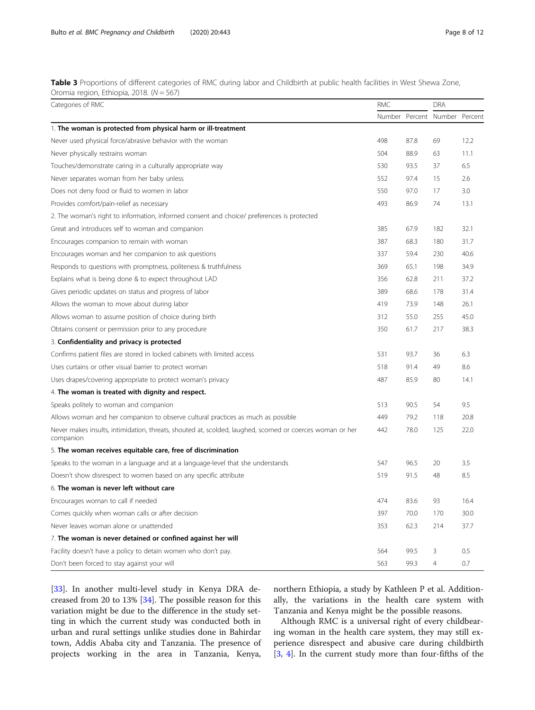<span id="page-7-0"></span>Table 3 Proportions of different categories of RMC during labor and Childbirth at public health facilities in West Shewa Zone, Oromia region, Ethiopia, 2018. (N = 567)

| Categories of RMC                                                                                                      | <b>RMC</b> |      | <b>DRA</b>     |         |
|------------------------------------------------------------------------------------------------------------------------|------------|------|----------------|---------|
|                                                                                                                        | Number     |      | Percent Number | Percent |
| 1. The woman is protected from physical harm or ill-treatment                                                          |            |      |                |         |
| Never used physical force/abrasive behavior with the woman                                                             | 498        | 87.8 | 69             | 12.2    |
| Never physically restrains woman                                                                                       | 504        | 88.9 | 63             | 11.1    |
| Touches/demonstrate caring in a culturally appropriate way                                                             | 530        | 93.5 | 37             | 6.5     |
| Never separates woman from her baby unless                                                                             | 552        | 97.4 | 15             | 2.6     |
| Does not deny food or fluid to women in labor                                                                          | 550        | 97.0 | 17             | 3.0     |
| Provides comfort/pain-relief as necessary                                                                              | 493        | 86.9 | 74             | 13.1    |
| 2. The woman's right to information, informed consent and choice/ preferences is protected                             |            |      |                |         |
| Great and introduces self to woman and companion                                                                       | 385        | 67.9 | 182            | 32.1    |
| Encourages companion to remain with woman                                                                              | 387        | 68.3 | 180            | 31.7    |
| Encourages woman and her companion to ask questions                                                                    | 337        | 59.4 | 230            | 40.6    |
| Responds to questions with promptness, politeness & truthfulness                                                       | 369        | 65.1 | 198            | 34.9    |
| Explains what is being done & to expect throughout LAD                                                                 | 356        | 62.8 | 211            | 37.2    |
| Gives periodic updates on status and progress of labor                                                                 | 389        | 68.6 | 178            | 31.4    |
| Allows the woman to move about during labor                                                                            | 419        | 73.9 | 148            | 26.1    |
| Allows woman to assume position of choice during birth                                                                 | 312        | 55.0 | 255            | 45.0    |
| Obtains consent or permission prior to any procedure                                                                   | 350        | 61.7 | 217            | 38.3    |
| 3. Confidentiality and privacy is protected                                                                            |            |      |                |         |
| Confirms patient files are stored in locked cabinets with limited access                                               | 531        | 93.7 | 36             | 6.3     |
| Uses curtains or other visual barrier to protect woman                                                                 | 518        | 91.4 | 49             | 8.6     |
| Uses drapes/covering appropriate to protect woman's privacy                                                            | 487        | 85.9 | 80             | 14.1    |
| 4. The woman is treated with dignity and respect.                                                                      |            |      |                |         |
| Speaks politely to woman and companion                                                                                 | 513        | 90.5 | 54             | 9.5     |
| Allows woman and her companion to observe cultural practices as much as possible                                       | 449        | 79.2 | 118            | 20.8    |
| Never makes insults, intimidation, threats, shouted at, scolded, laughed, scorned or coerces woman or her<br>companion | 442        | 78.0 | 125            | 22.0    |
| 5. The woman receives equitable care, free of discrimination                                                           |            |      |                |         |
| Speaks to the woman in a language and at a language-level that she understands                                         | 547        | 96.5 | 20             | 3.5     |
| Doesn't show disrespect to women based on any specific attribute                                                       | 519        | 91.5 | 48             | 8.5     |
| 6. The woman is never left without care                                                                                |            |      |                |         |
| Encourages woman to call if needed                                                                                     | 474        | 83.6 | 93             | 16.4    |
| Comes quickly when woman calls or after decision                                                                       | 397        | 70.0 | 170            | 30.0    |
| Never leaves woman alone or unattended                                                                                 | 353        | 62.3 | 214            | 37.7    |
| 7. The woman is never detained or confined against her will                                                            |            |      |                |         |
| Facility doesn't have a policy to detain women who don't pay.                                                          | 564        | 99.5 | 3              | 0.5     |
| Don't been forced to stay against your will                                                                            | 563        | 99.3 | $\overline{4}$ | 0.7     |

[[33\]](#page-11-0). In another multi-level study in Kenya DRA decreased from 20 to 13% [\[34\]](#page-11-0). The possible reason for this variation might be due to the difference in the study setting in which the current study was conducted both in urban and rural settings unlike studies done in Bahirdar town, Addis Ababa city and Tanzania. The presence of projects working in the area in Tanzania, Kenya,

northern Ethiopia, a study by Kathleen P et al. Additionally, the variations in the health care system with Tanzania and Kenya might be the possible reasons.

Although RMC is a universal right of every childbearing woman in the health care system, they may still experience disrespect and abusive care during childbirth [[3,](#page-10-0) [4\]](#page-10-0). In the current study more than four-fifths of the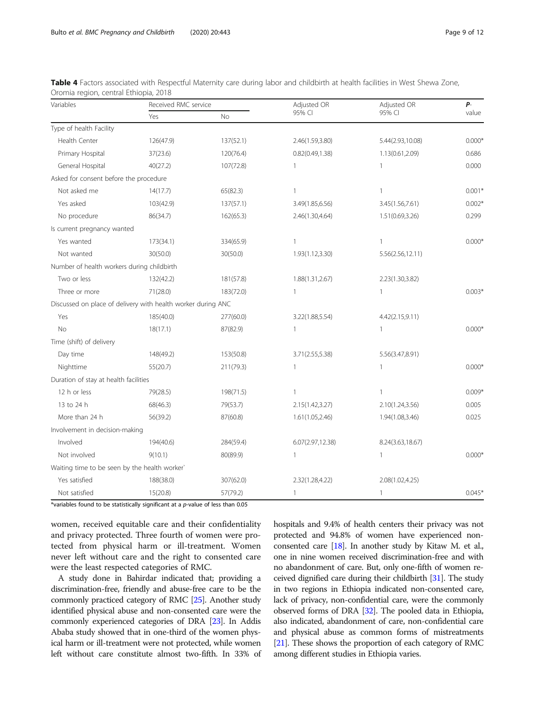| Variables                                                    |           | Received RMC service |                  | Adjusted OR      | Р-       |
|--------------------------------------------------------------|-----------|----------------------|------------------|------------------|----------|
|                                                              | Yes       | <b>No</b>            | 95% CI           | 95% CI           | value    |
| Type of health Facility                                      |           |                      |                  |                  |          |
| Health Center                                                | 126(47.9) | 137(52.1)            | 2.46(1.59,3.80)  | 5.44(2.93,10.08) | $0.000*$ |
| Primary Hospital                                             | 37(23.6)  | 120(76.4)            | 0.82(0.49, 1.38) | 1.13(0.61,2.09)  | 0.686    |
| General Hospital                                             | 40(27.2)  | 107(72.8)            | $\mathbf{1}$     | $\mathbf{1}$     | 0.000    |
| Asked for consent before the procedure                       |           |                      |                  |                  |          |
| Not asked me                                                 | 14(17.7)  | 65(82.3)             | $\mathbf{1}$     | $\mathbf{1}$     | $0.001*$ |
| Yes asked                                                    | 103(42.9) | 137(57.1)            | 3.49(1.85,6.56)  | 3.45(1.56,7.61)  | $0.002*$ |
| No procedure                                                 | 86(34.7)  | 162(65.3)            | 2.46(1.30,4.64)  | 1.51(0.69, 3.26) | 0.299    |
| Is current pregnancy wanted                                  |           |                      |                  |                  |          |
| Yes wanted                                                   | 173(34.1) | 334(65.9)            | 1                | $\mathbf{1}$     | $0.000*$ |
| Not wanted                                                   | 30(50.0)  | 30(50.0)             | 1.93(1.12,3.30)  | 5.56(2.56,12.11) |          |
| Number of health workers during childbirth                   |           |                      |                  |                  |          |
| Two or less                                                  | 132(42.2) | 181(57.8)            | 1.88(1.31,2.67)  | 2.23(1.30,3.82)  |          |
| Three or more                                                | 71(28.0)  | 183(72.0)            | $\mathbf{1}$     | $\mathbf{1}$     | $0.003*$ |
| Discussed on place of delivery with health worker during ANC |           |                      |                  |                  |          |
| Yes                                                          | 185(40.0) | 277(60.0)            | 3.22(1.88,5.54)  | 4.42(2.15,9.11)  |          |
| <b>No</b>                                                    | 18(17.1)  | 87(82.9)             | $\mathbf{1}$     | $\mathbf{1}$     | $0.000*$ |
| Time (shift) of delivery                                     |           |                      |                  |                  |          |
| Day time                                                     | 148(49.2) | 153(50.8)            | 3.71(2.55,5.38)  | 5.56(3.47,8.91)  |          |
| Nighttime                                                    | 55(20.7)  | 211(79.3)            | $\mathbf{1}$     | $\mathbf{1}$     | $0.000*$ |
| Duration of stay at health facilities                        |           |                      |                  |                  |          |
| 12 h or less                                                 | 79(28.5)  | 198(71.5)            | $\mathbf{1}$     | $\mathbf{1}$     | $0.009*$ |
| 13 to 24 h                                                   | 68(46.3)  | 79(53.7)             | 2.15(1.42,3.27)  | 2.10(1.24,3.56)  | 0.005    |
| More than 24 h                                               | 56(39.2)  | 87(60.8)             | 1.61(1.05,2.46)  | 1.94(1.08,3.46)  | 0.025    |
| Involvement in decision-making                               |           |                      |                  |                  |          |
| Involved                                                     | 194(40.6) | 284(59.4)            | 6.07(2.97,12.38) | 8.24(3.63,18.67) |          |
| Not involved                                                 | 9(10.1)   | 80(89.9)             | $\mathbf{1}$     | $\mathbf{1}$     | $0.000*$ |
| Waiting time to be seen by the health worker'                |           |                      |                  |                  |          |
| Yes satisfied                                                | 188(38.0) | 307(62.0)            | 2.32(1.28,4.22)  | 2.08(1.02,4.25)  |          |
| Not satisfied                                                | 15(20.8)  | 57(79.2)             | $\mathbf{1}$     | 1                | $0.045*$ |

<span id="page-8-0"></span>Table 4 Factors associated with Respectful Maternity care during labor and childbirth at health facilities in West Shewa Zone, Oromia region, central Ethiopia, 2018

\*variables found to be statistically significant at a p-value of less than 0.05

women, received equitable care and their confidentiality and privacy protected. Three fourth of women were protected from physical harm or ill-treatment. Women never left without care and the right to consented care were the least respected categories of RMC.

A study done in Bahirdar indicated that; providing a discrimination-free, friendly and abuse-free care to be the commonly practiced category of RMC [[25](#page-11-0)]. Another study identified physical abuse and non-consented care were the commonly experienced categories of DRA [\[23\]](#page-11-0). In Addis Ababa study showed that in one-third of the women physical harm or ill-treatment were not protected, while women left without care constitute almost two-fifth. In 33% of hospitals and 9.4% of health centers their privacy was not protected and 94.8% of women have experienced nonconsented care [[18](#page-11-0)]. In another study by Kitaw M. et al., one in nine women received discrimination-free and with no abandonment of care. But, only one-fifth of women received dignified care during their childbirth [\[31\]](#page-11-0). The study in two regions in Ethiopia indicated non-consented care, lack of privacy, non-confidential care, were the commonly observed forms of DRA [\[32\]](#page-11-0). The pooled data in Ethiopia, also indicated, abandonment of care, non-confidential care and physical abuse as common forms of mistreatments [[21](#page-11-0)]. These shows the proportion of each category of RMC among different studies in Ethiopia varies.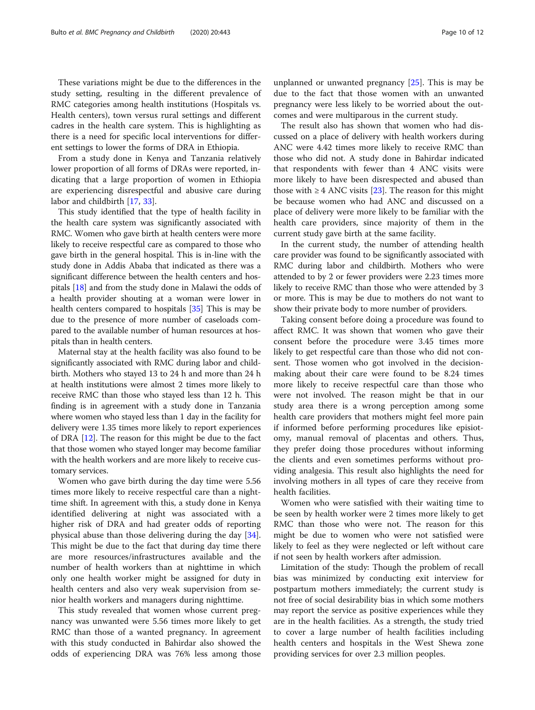These variations might be due to the differences in the study setting, resulting in the different prevalence of RMC categories among health institutions (Hospitals vs. Health centers), town versus rural settings and different cadres in the health care system. This is highlighting as there is a need for specific local interventions for different settings to lower the forms of DRA in Ethiopia.

From a study done in Kenya and Tanzania relatively lower proportion of all forms of DRAs were reported, indicating that a large proportion of women in Ethiopia are experiencing disrespectful and abusive care during labor and childbirth [\[17](#page-10-0), [33](#page-11-0)].

This study identified that the type of health facility in the health care system was significantly associated with RMC. Women who gave birth at health centers were more likely to receive respectful care as compared to those who gave birth in the general hospital. This is in-line with the study done in Addis Ababa that indicated as there was a significant difference between the health centers and hospitals [[18](#page-11-0)] and from the study done in Malawi the odds of a health provider shouting at a woman were lower in health centers compared to hospitals [[35](#page-11-0)] This is may be due to the presence of more number of caseloads compared to the available number of human resources at hospitals than in health centers.

Maternal stay at the health facility was also found to be significantly associated with RMC during labor and childbirth. Mothers who stayed 13 to 24 h and more than 24 h at health institutions were almost 2 times more likely to receive RMC than those who stayed less than 12 h. This finding is in agreement with a study done in Tanzania where women who stayed less than 1 day in the facility for delivery were 1.35 times more likely to report experiences of DRA [[12](#page-10-0)]. The reason for this might be due to the fact that those women who stayed longer may become familiar with the health workers and are more likely to receive customary services.

Women who gave birth during the day time were 5.56 times more likely to receive respectful care than a nighttime shift. In agreement with this, a study done in Kenya identified delivering at night was associated with a higher risk of DRA and had greater odds of reporting physical abuse than those delivering during the day [\[34](#page-11-0)]. This might be due to the fact that during day time there are more resources/infrastructures available and the number of health workers than at nighttime in which only one health worker might be assigned for duty in health centers and also very weak supervision from senior health workers and managers during nighttime.

This study revealed that women whose current pregnancy was unwanted were 5.56 times more likely to get RMC than those of a wanted pregnancy. In agreement with this study conducted in Bahirdar also showed the odds of experiencing DRA was 76% less among those

unplanned or unwanted pregnancy [\[25](#page-11-0)]. This is may be due to the fact that those women with an unwanted pregnancy were less likely to be worried about the outcomes and were multiparous in the current study.

The result also has shown that women who had discussed on a place of delivery with health workers during ANC were 4.42 times more likely to receive RMC than those who did not. A study done in Bahirdar indicated that respondents with fewer than 4 ANC visits were more likely to have been disrespected and abused than those with  $\geq 4$  ANC visits [[23](#page-11-0)]. The reason for this might be because women who had ANC and discussed on a place of delivery were more likely to be familiar with the health care providers, since majority of them in the current study gave birth at the same facility.

In the current study, the number of attending health care provider was found to be significantly associated with RMC during labor and childbirth. Mothers who were attended to by 2 or fewer providers were 2.23 times more likely to receive RMC than those who were attended by 3 or more. This is may be due to mothers do not want to show their private body to more number of providers.

Taking consent before doing a procedure was found to affect RMC. It was shown that women who gave their consent before the procedure were 3.45 times more likely to get respectful care than those who did not consent. Those women who got involved in the decisionmaking about their care were found to be 8.24 times more likely to receive respectful care than those who were not involved. The reason might be that in our study area there is a wrong perception among some health care providers that mothers might feel more pain if informed before performing procedures like episiotomy, manual removal of placentas and others. Thus, they prefer doing those procedures without informing the clients and even sometimes performs without providing analgesia. This result also highlights the need for involving mothers in all types of care they receive from health facilities.

Women who were satisfied with their waiting time to be seen by health worker were 2 times more likely to get RMC than those who were not. The reason for this might be due to women who were not satisfied were likely to feel as they were neglected or left without care if not seen by health workers after admission.

Limitation of the study: Though the problem of recall bias was minimized by conducting exit interview for postpartum mothers immediately; the current study is not free of social desirability bias in which some mothers may report the service as positive experiences while they are in the health facilities. As a strength, the study tried to cover a large number of health facilities including health centers and hospitals in the West Shewa zone providing services for over 2.3 million peoples.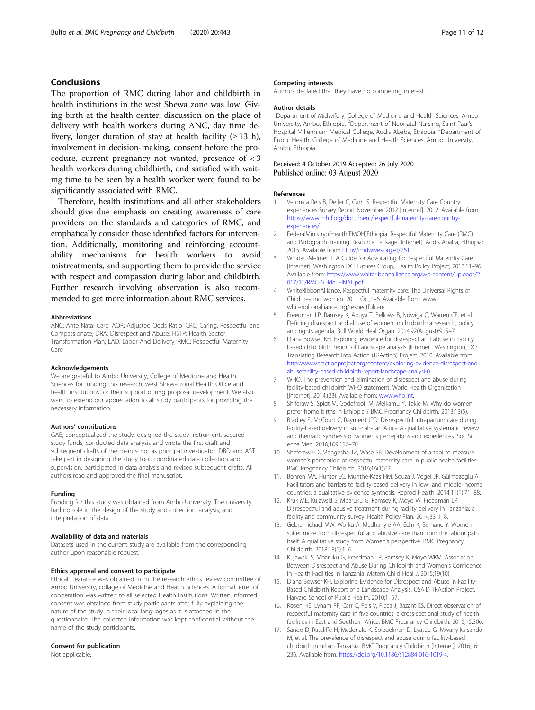## <span id="page-10-0"></span>Conclusions

The proportion of RMC during labor and childbirth in health institutions in the west Shewa zone was low. Giving birth at the health center, discussion on the place of delivery with health workers during ANC, day time delivery, longer duration of stay at health facility ( $\geq$  13 h), involvement in decision-making, consent before the procedure, current pregnancy not wanted, presence of < 3 health workers during childbirth, and satisfied with waiting time to be seen by a health worker were found to be significantly associated with RMC.

Therefore, health institutions and all other stakeholders should give due emphasis on creating awareness of care providers on the standards and categories of RMC, and emphatically consider those identified factors for intervention. Additionally, monitoring and reinforcing accountability mechanisms for health workers to avoid mistreatments, and supporting them to provide the service with respect and compassion during labor and childbirth. Further research involving observation is also recommended to get more information about RMC services.

#### Abbreviations

ANC: Ante Natal Care; AOR: Adjusted Odds Ratio; CRC: Caring, Respectful and Compassionate; DRA: Disrespect and Abuse; HSTP: Health Sector Transformation Plan; LAD: Labor And Delivery; RMC: Respectful Maternity Care

#### Acknowledgements

We are grateful to Ambo University, College of Medicine and Health Sciences for funding this research; west Shewa zonal Health Office and health institutions for their support during proposal development. We also want to extend our appreciation to all study participants for providing the necessary information.

## Authors' contributions

GAB, conceptualized the study, designed the study instrument, secured study funds, conducted data analysis and wrote the first draft and subsequent drafts of the manuscript as principal investigator. DBD and AST take part in designing the study tool, coordinated data collection and supervision, participated in data analysis and revised subsequent drafts. All authors read and approved the final manuscript.

## Funding

Funding for this study was obtained from Ambo University. The university had no role in the design of the study and collection, analysis, and interpretation of data.

#### Availability of data and materials

Datasets used in the current study are available from the corresponding author upon reasonable request.

#### Ethics approval and consent to participate

Ethical clearance was obtained from the research ethics review committee of Ambo University, collage of Medicine and Health Sciences. A formal letter of cooperation was written to all selected Health institutions. Written informed consent was obtained from study participants after fully explaining the nature of the study in their local languages as it is attached in the questionnaire. The collected information was kept confidential without the name of the study participants.

## Consent for publication

Not applicable.

#### Competing interests

Authors declared that they have no competing interest.

### Author details

<sup>1</sup>Department of Midwifery, College of Medicine and Health Sciences, Ambo University, Ambo, Ethiopia. <sup>2</sup>Department of Neonatal Nursing, Saint Paul's Hospital Millennium Medical College, Addis Ababa, Ethiopia. <sup>3</sup>Department of Public Health, College of Medicine and Health Sciences, Ambo University, Ambo, Ethiopia.

## Received: 4 October 2019 Accepted: 26 July 2020 Published online: 03 August 2020

#### References

- 1. Veronica Reis B, Deller C, Carr JS. Respectful Maternity Care Country experiences Survey Report November 2012 [Internet]. 2012. Available from: [https://www.mhtf.org/document/respectful-maternity-care-country](https://www.mhtf.org/document/respectful-maternity-care-country-experiences/)[experiences/.](https://www.mhtf.org/document/respectful-maternity-care-country-experiences/)
- 2. FederalMinistryofHealth(FMOH)Ethiopia. Respectful Maternity Care (RMC) and Partograph Training Resource Package [Internet]. Addis Ababa, Ethiopia; 2015. Available from: <http://midwives.org.et/261>.
- Windau-Melmer T. A Guide for Advocating for Respectful Maternity Care. [Internet]. Washington DC: Futures Group, Health Policy Project; 2013:11–96. Available from: [https://www.whiteribbonalliance.org/wp-content/uploads/2](https://www.whiteribbonalliance.org/wp-content/uploads/2017/11/RMC-Guide_FINAL.pdf) [017/11/RMC-Guide\\_FINAL.pdf.](https://www.whiteribbonalliance.org/wp-content/uploads/2017/11/RMC-Guide_FINAL.pdf)
- 4. WhiteRibbonAlliance. Respectful maternity care: The Universal Rights of Child bearing women. 2011 Oct;1–6. Available from: www. whiteribbonalliance.org/respectfulcare.
- 5. Freedman LP, Ramsey K, Abuya T, Bellows B, Ndwiga C, Warren CE, et al. Defining disrespect and abuse of women in childbirth: a research, policy and rights agenda. Bull World Heal Organ. 2014;92(August):915–7.
- 6. Diana Bowser KH. Exploring evidence for disrespect and abuse in Facility based child birth Report of Landscape analysis [Internet]. Washington, DC: Translating Research into Action (TRAction) Project; 2010. Available from: [http://www.tractionproject.org/content/exploring-evidence-disrespect-and](http://www.tractionproject.org/content/exploring-evidence-disrespect-and-abusefacility-based-childbirth-report-landscape-analysi-0)[abusefacility-based-childbirth-report-landscape-analysi-0.](http://www.tractionproject.org/content/exploring-evidence-disrespect-and-abusefacility-based-childbirth-report-landscape-analysi-0)
- 7. WHO. The prevention and elimination of disrespect and abuse during facility-based childbirth WHO statement. World Health Organization [Internet]. 2014;(23). Available from: [www.who.int.](http://www.who.int)
- 8. Shiferaw S, Spigt M, Godefrooij M, Melkamu Y, Tekie M. Why do women prefer home births in Ethiopia ? BMC Pregnancy Childbirth. 2013;13(5).
- 9. Bradley S, McCourt C, Rayment JPD. Disrespectful intrapartum care during facility-based delivery in sub-Saharan Africa A qualitative systematic review and thematic synthesis of women's perceptions and experiences. Soc Sci ence Med. 2016;169:157–70.
- 10. Sheferaw ED, Mengesha TZ, Wase SB. Development of a tool to measure women's perception of respectful maternity care in public health facilities. BMC Pregnancy Childbirth. 2016;16(1):67.
- 11. Bohren MA, Hunter EC, Munthe-Kaas HM, Souza J, Vogel JP, Gülmezoglu A. Facilitators and barriers to facility-based delivery in low- and middle-income countries: a qualitative evidence synthesis. Reprod Health. 2014;11(1):71–88.
- 12. Kruk ME, Kujawski S, Mbaruku G, Ramsey K, Moyo W, Freedman LP. Disrespectful and abusive treatment during facility delivery in Tanzania: a facility and community survey. Health Policy Plan. 2014;33 1–8.
- 13. Gebremichael MW, Worku A, Medhanyie AA, Edin K, Berhane Y. Women suffer more from disrespectful and abusive care than from the labour pain itself: A qualitative study from Women's perspective. BMC Pregnancy Childbirth. 2018;18(1):1–6.
- 14. Kujawski S, Mbaruku G, Freedman LP, Ramsey K, Moyo WKM. Association Between Disrespect and Abuse During Childbirth and Women's Confidence in Health Facilities in Tanzania. Matern Child Heal J. 2015;19(10).
- 15. Diana Bowser KH. Exploring Evidence for Disrespect and Abuse in Facility-Based Childbirth Report of a Landscape Analysis. USAID TRAction Project. Harvard School of Public Health. 2010;1–57.
- 16. Rosen HE, Lynam PF, Carr C, Reis V, Ricca J, Bazant ES. Direct observation of respectful maternity care in five countries: a cross-sectional study of health facilities in East and Southern Africa. BMC Pregnancy Childbirth. 2015;15:306.
- 17. Sando D, Ratcliffe H, Mcdonald K, Spiegelman D, Lyatuu G, Mwanyika-sando M, et al. The prevalence of disrespect and abuse during facility-based childbirth in urban Tanzania. BMC Pregnancy Childbirth [Internet]. 2016;16: 236. Available from: <https://doi.org/10.1186/s12884-016-1019-4>.